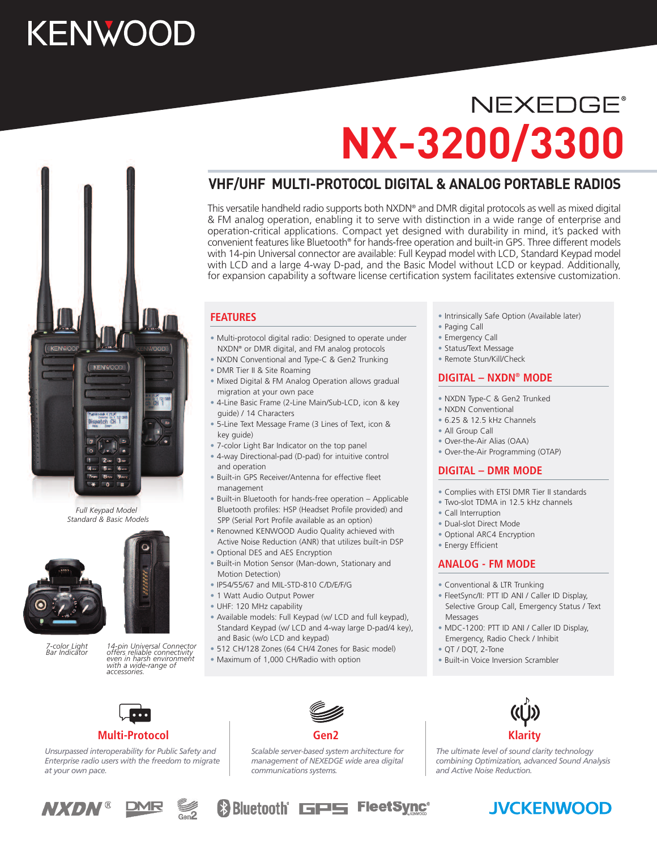# **KENWOOD**

# **NEXEDGE® NX-3200/3300**

# **VHF/UHF MULTI-PROTOCOL DIGITAL & ANALOG PORTABLE RADIOS**

This versatile handheld radio supports both NXDN® and DMR digital protocols as well as mixed digital & FM analog operation, enabling it to serve with distinction in a wide range of enterprise and operation-critical applications. Compact yet designed with durability in mind, it's packed with convenient features like Bluetooth® for hands-free operation and built-in GPS. Three different models with 14-pin Universal connector are available: Full Keypad model with LCD, Standard Keypad model with LCD and a large 4-way D-pad, and the Basic Model without LCD or keypad. Additionally, for expansion capability a software license certification system facilitates extensive customization.

### **FEATURES**

- Multi-protocol digital radio: Designed to operate under NXDN® or DMR digital, and FM analog protocols
- NXDN Conventional and Type-C & Gen2 Trunking
- DMR Tier II & Site Roaming
- Mixed Digital & FM Analog Operation allows gradual migration at your own pace
- 4-Line Basic Frame (2-Line Main/Sub-LCD, icon & key guide) / 14 Characters
- 5-Line Text Message Frame (3 Lines of Text, icon & key guide)
- 7-color Light Bar Indicator on the top panel
- 4-way Directional-pad (D-pad) for intuitive control and operation
- Built-in GPS Receiver/Antenna for effective fleet management
- Built-in Bluetooth for hands-free operation Applicable Bluetooth profiles: HSP (Headset Profile provided) and SPP (Serial Port Profile available as an option)
- Renowned KENWOOD Audio Quality achieved with Active Noise Reduction (ANR) that utilizes built-in DSP
- Optional DES and AES Encryption
- Built-in Motion Sensor (Man-down, Stationary and Motion Detection)
- IP54/55/67 and MIL-STD-810 C/D/E/F/G
- 1 Watt Audio Output Power
- 
- UHF: 120 MHz capability
- Available models: Full Keypad (w/ LCD and full keypad), Standard Keypad (w/ LCD and 4-way large D-pad/4 key), and Basic (w/o LCD and keypad)
- 512 CH/128 Zones (64 CH/4 Zones for Basic model)
- Maximum of 1,000 CH/Radio with option
- Intrinsically Safe Option (Available later)
- Paging Call
- Emergency Call
- Status/Text Message
- Remote Stun/Kill/Check

### **DIGITAL – NXDN® MODE**

- NXDN Type-C & Gen2 Trunked
- NXDN Conventional
- 6.25 & 12.5 kHz Channels
- All Group Call
- Over-the-Air Alias (OAA)
- Over-the-Air Programming (OTAP)

### **DIGITAL – DMR MODE**

- Complies with ETSI DMR Tier II standards
- Two-slot TDMA in 12.5 kHz channels
- Call Interruption
- Dual-slot Direct Mode
- Optional ARC4 Encryption
- Energy Efficient

### **ANALOG - FM MODE**

- Conventional & LTR Trunking
- FleetSync/II: PTT ID ANI / Caller ID Display, Selective Group Call, Emergency Status / Text Messages
- MDC-1200: PTT ID ANI / Caller ID Display, Emergency, Radio Check / Inhibit
- QT / DQT, 2-Tone
- Built-in Voice Inversion Scrambler



### **Multi-Protocol**

*Unsurpassed interoperability for Public Safety and Enterprise radio users with the freedom to migrate at your own pace.*



*Scalable server-based system architecture for management of NEXEDGE wide area digital communications systems.*



*The ultimate level of sound clarity technology combining Optimization, advanced Sound Analysis and Active Noise Reduction.*









- 
- *7-color Light*

*Full Keypad Model*

 $\bullet$ 12.  $3<sub>ii</sub>$ '6<sub>ws</sub>

**KENWOOD** 

*Standard & Basic Models*



14-pin Universal Connector<br>offers reliable connectivity<br>even in harsh environment<br>with a wide-range of<br>accessories

- 
-